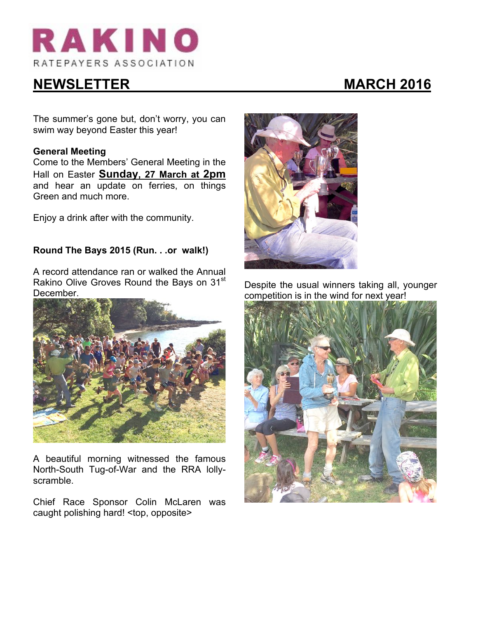

# **NEWSLETTER MARCH 2016**

The summer's gone but, don't worry, you can swim way beyond Easter this year!

## **General Meeting**

Come to the Members' General Meeting in the Hall on Easter **Sunday, 27 March at 2pm** and hear an update on ferries, on things Green and much more.

Enjoy a drink after with the community.

# **Round The Bays 2015 (Run. . .or walk!)**

A record attendance ran or walked the Annual Rakino Olive Groves Round the Bays on 31<sup>st</sup> December.



A beautiful morning witnessed the famous North-South Tug-of-War and the RRA lollyscramble.

Chief Race Sponsor Colin McLaren was caught polishing hard! <top, opposite>



Despite the usual winners taking all, younger competition is in the wind for next year!